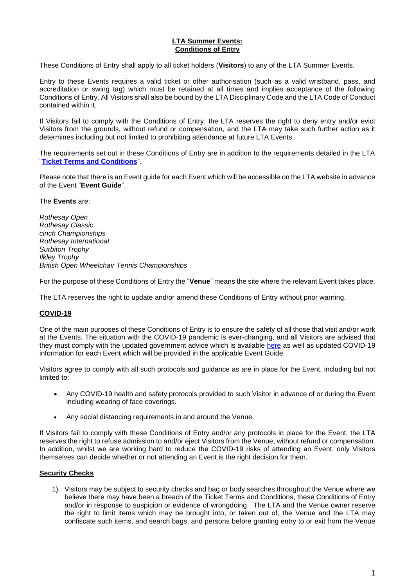### **LTA Summer Events: Conditions of Entry**

These Conditions of Entry shall apply to all ticket holders (**Visitors**) to any of the LTA Summer Events.

Entry to these Events requires a valid ticket or other authorisation (such as a valid wristband, pass, and accreditation or swing tag) which must be retained at all times and implies acceptance of the following Conditions of Entry. All Visitors shall also be bound by the LTA Disciplinary Code and the LTA Code of Conduct contained within it.

If Visitors fail to comply with the Conditions of Entry, the LTA reserves the right to deny entry and/or evict Visitors from the grounds, without refund or compensation, and the LTA may take such further action as it determines including but not limited to prohibiting attendance at future LTA Events.

The requirements set out in these Conditions of Entry are in addition to the requirements detailed in the LTA "**[Ticket Terms and Conditions](https://www.lta.org.uk/fan-zone/ticketing-information/ticket-terms-and-conditions/)**".

Please note that there is an Event guide for each Event which will be accessible on the LTA website in advance of the Event "**Event Guide**".

The **Events** are:

*Rothesay Open Rothesay Classic cinch Championships Rothesay International Surbiton Trophy Ilkley Trophy British Open Wheelchair Tennis Championships*

For the purpose of these Conditions of Entry the "**Venue**" means the site where the relevant Event takes place.

The LTA reserves the right to update and/or amend these Conditions of Entry without prior warning.

# **COVID-19**

One of the main purposes of these Conditions of Entry is to ensure the safety of all those that visit and/or work at the Events. The situation with the COVID-19 pandemic is ever-changing, and all Visitors are advised that they must comply with the updated government advice which is available [here](https://www.gov.uk/coronavirus) as well as updated COVID-19 information for each Event which will be provided in the applicable Event Guide.

Visitors agree to comply with all such protocols and guidance as are in place for the Event, including but not limited to:

- Any COVID-19 health and safety protocols provided to such Visitor in advance of or during the Event including wearing of face coverings.
- Any social distancing requirements in and around the Venue.

If Visitors fail to comply with these Conditions of Entry and/or any protocols in place for the Event, the LTA reserves the right to refuse admission to and/or eject Visitors from the Venue, without refund or compensation. In addition, whilst we are working hard to reduce the COVID-19 risks of attending an Event, only Visitors themselves can decide whether or not attending an Event is the right decision for them.

# **Security Checks**

1) Visitors may be subject to security checks and bag or body searches throughout the Venue where we believe there may have been a breach of the Ticket Terms and Conditions, these Conditions of Entry and/or in response to suspicion or evidence of wrongdoing. The LTA and the Venue owner reserve the right to limit items which may be brought into, or taken out of, the Venue and the LTA may confiscate such items, and search bags, and persons before granting entry to or exit from the Venue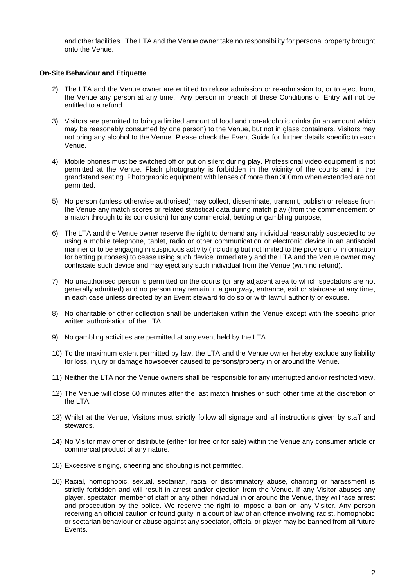and other facilities. The LTA and the Venue owner take no responsibility for personal property brought onto the Venue.

### **On-Site Behaviour and Etiquette**

- 2) The LTA and the Venue owner are entitled to refuse admission or re-admission to, or to eject from, the Venue any person at any time. Any person in breach of these Conditions of Entry will not be entitled to a refund.
- 3) Visitors are permitted to bring a limited amount of food and non-alcoholic drinks (in an amount which may be reasonably consumed by one person) to the Venue, but not in glass containers. Visitors may not bring any alcohol to the Venue. Please check the Event Guide for further details specific to each Venue.
- 4) Mobile phones must be switched off or put on silent during play. Professional video equipment is not permitted at the Venue. Flash photography is forbidden in the vicinity of the courts and in the grandstand seating. Photographic equipment with lenses of more than 300mm when extended are not permitted.
- 5) No person (unless otherwise authorised) may collect, disseminate, transmit, publish or release from the Venue any match scores or related statistical data during match play (from the commencement of a match through to its conclusion) for any commercial, betting or gambling purpose,
- 6) The LTA and the Venue owner reserve the right to demand any individual reasonably suspected to be using a mobile telephone, tablet, radio or other communication or electronic device in an antisocial manner or to be engaging in suspicious activity (including but not limited to the provision of information for betting purposes) to cease using such device immediately and the LTA and the Venue owner may confiscate such device and may eject any such individual from the Venue (with no refund).
- 7) No unauthorised person is permitted on the courts (or any adjacent area to which spectators are not generally admitted) and no person may remain in a gangway, entrance, exit or staircase at any time, in each case unless directed by an Event steward to do so or with lawful authority or excuse.
- 8) No charitable or other collection shall be undertaken within the Venue except with the specific prior written authorisation of the LTA.
- 9) No gambling activities are permitted at any event held by the LTA.
- 10) To the maximum extent permitted by law, the LTA and the Venue owner hereby exclude any liability for loss, injury or damage howsoever caused to persons/property in or around the Venue.
- 11) Neither the LTA nor the Venue owners shall be responsible for any interrupted and/or restricted view.
- 12) The Venue will close 60 minutes after the last match finishes or such other time at the discretion of the LTA
- 13) Whilst at the Venue, Visitors must strictly follow all signage and all instructions given by staff and stewards.
- 14) No Visitor may offer or distribute (either for free or for sale) within the Venue any consumer article or commercial product of any nature.
- 15) Excessive singing, cheering and shouting is not permitted.
- 16) Racial, homophobic, sexual, sectarian, racial or discriminatory abuse, chanting or harassment is strictly forbidden and will result in arrest and/or ejection from the Venue. If any Visitor abuses any player, spectator, member of staff or any other individual in or around the Venue, they will face arrest and prosecution by the police. We reserve the right to impose a ban on any Visitor. Any person receiving an official caution or found guilty in a court of law of an offence involving racist, homophobic or sectarian behaviour or abuse against any spectator, official or player may be banned from all future Events.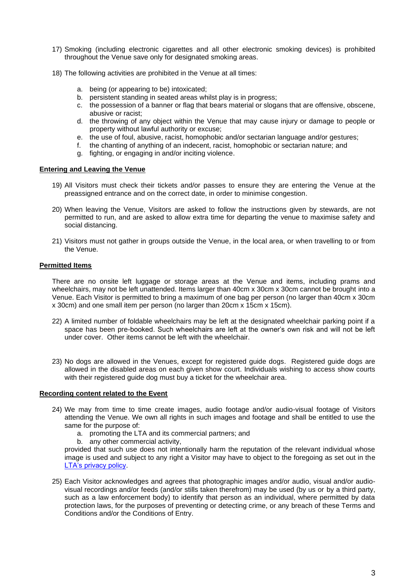- 17) Smoking (including electronic cigarettes and all other electronic smoking devices) is prohibited throughout the Venue save only for designated smoking areas.
- 18) The following activities are prohibited in the Venue at all times:
	- a. being (or appearing to be) intoxicated;
	- b. persistent standing in seated areas whilst play is in progress;
	- c. the possession of a banner or flag that bears material or slogans that are offensive, obscene, abusive or racist;
	- d. the throwing of any object within the Venue that may cause injury or damage to people or property without lawful authority or excuse;
	- e. the use of foul, abusive, racist, homophobic and/or sectarian language and/or gestures;
	- f. the chanting of anything of an indecent, racist, homophobic or sectarian nature; and
	- g. fighting, or engaging in and/or inciting violence.

#### **Entering and Leaving the Venue**

- 19) All Visitors must check their tickets and/or passes to ensure they are entering the Venue at the preassigned entrance and on the correct date, in order to minimise congestion.
- 20) When leaving the Venue, Visitors are asked to follow the instructions given by stewards, are not permitted to run, and are asked to allow extra time for departing the venue to maximise safety and social distancing.
- 21) Visitors must not gather in groups outside the Venue, in the local area, or when travelling to or from the Venue.

### **Permitted Items**

There are no onsite left luggage or storage areas at the Venue and items, including prams and wheelchairs, may not be left unattended. Items larger than 40cm x 30cm x 30cm cannot be brought into a Venue. Each Visitor is permitted to bring a maximum of one bag per person (no larger than 40cm x 30cm x 30cm) and one small item per person (no larger than 20cm x 15cm x 15cm).

- 22) A limited number of foldable wheelchairs may be left at the designated wheelchair parking point if a space has been pre-booked. Such wheelchairs are left at the owner's own risk and will not be left under cover. Other items cannot be left with the wheelchair.
- 23) No dogs are allowed in the Venues, except for registered guide dogs. Registered guide dogs are allowed in the disabled areas on each given show court. Individuals wishing to access show courts with their registered guide dog must buy a ticket for the wheelchair area.

#### **Recording content related to the Event**

- 24) We may from time to time create images, audio footage and/or audio-visual footage of Visitors attending the Venue. We own all rights in such images and footage and shall be entitled to use the same for the purpose of:
	- a. promoting the LTA and its commercial partners; and
	- b. any other commercial activity,

provided that such use does not intentionally harm the reputation of the relevant individual whose image is used and subject to any right a Visitor may have to object to the foregoing as set out in the [LTA's privacy policy.](https://www.lta.org.uk/about-us/what-we-do/governance-and-structure/policies-and-rules/privacy-policy/)

25) Each Visitor acknowledges and agrees that photographic images and/or audio, visual and/or audiovisual recordings and/or feeds (and/or stills taken therefrom) may be used (by us or by a third party, such as a law enforcement body) to identify that person as an individual, where permitted by data protection laws, for the purposes of preventing or detecting crime, or any breach of these Terms and Conditions and/or the Conditions of Entry.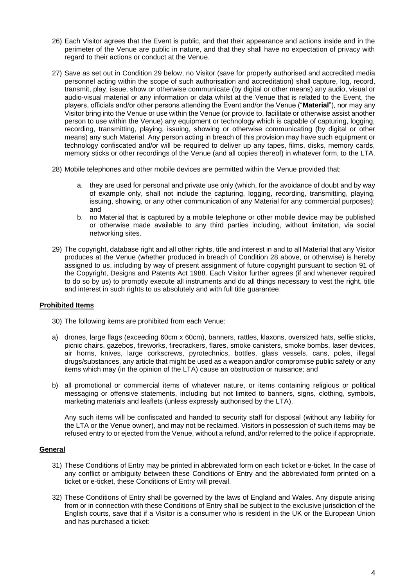- 26) Each Visitor agrees that the Event is public, and that their appearance and actions inside and in the perimeter of the Venue are public in nature, and that they shall have no expectation of privacy with regard to their actions or conduct at the Venue.
- 27) Save as set out in Condition 29 below, no Visitor (save for properly authorised and accredited media personnel acting within the scope of such authorisation and accreditation) shall capture, log, record, transmit, play, issue, show or otherwise communicate (by digital or other means) any audio, visual or audio-visual material or any information or data whilst at the Venue that is related to the Event, the players, officials and/or other persons attending the Event and/or the Venue ("**Material**"), nor may any Visitor bring into the Venue or use within the Venue (or provide to, facilitate or otherwise assist another person to use within the Venue) any equipment or technology which is capable of capturing, logging, recording, transmitting, playing, issuing, showing or otherwise communicating (by digital or other means) any such Material. Any person acting in breach of this provision may have such equipment or technology confiscated and/or will be required to deliver up any tapes, films, disks, memory cards, memory sticks or other recordings of the Venue (and all copies thereof) in whatever form, to the LTA.
- 28) Mobile telephones and other mobile devices are permitted within the Venue provided that:
	- a. they are used for personal and private use only (which, for the avoidance of doubt and by way of example only, shall not include the capturing, logging, recording, transmitting, playing, issuing, showing, or any other communication of any Material for any commercial purposes); and
	- b. no Material that is captured by a mobile telephone or other mobile device may be published or otherwise made available to any third parties including, without limitation, via social networking sites.
- 29) The copyright, database right and all other rights, title and interest in and to all Material that any Visitor produces at the Venue (whether produced in breach of Condition 28 above, or otherwise) is hereby assigned to us, including by way of present assignment of future copyright pursuant to section 91 of the Copyright, Designs and Patents Act 1988. Each Visitor further agrees (if and whenever required to do so by us) to promptly execute all instruments and do all things necessary to vest the right, title and interest in such rights to us absolutely and with full title guarantee.

# **Prohibited Items**

- 30) The following items are prohibited from each Venue:
- a) drones, large flags (exceeding 60cm x 60cm), banners, rattles, klaxons, oversized hats, selfie sticks, picnic chairs, gazebos, fireworks, firecrackers, flares, smoke canisters, smoke bombs, laser devices, air horns, knives, large corkscrews, pyrotechnics, bottles, glass vessels, cans, poles, illegal drugs/substances, any article that might be used as a weapon and/or compromise public safety or any items which may (in the opinion of the LTA) cause an obstruction or nuisance; and
- b) all promotional or commercial items of whatever nature, or items containing religious or political messaging or offensive statements, including but not limited to banners, signs, clothing, symbols, marketing materials and leaflets (unless expressly authorised by the LTA).

Any such items will be confiscated and handed to security staff for disposal (without any liability for the LTA or the Venue owner), and may not be reclaimed. Visitors in possession of such items may be refused entry to or ejected from the Venue, without a refund, and/or referred to the police if appropriate.

# **General**

- 31) These Conditions of Entry may be printed in abbreviated form on each ticket or e-ticket. In the case of any conflict or ambiguity between these Conditions of Entry and the abbreviated form printed on a ticket or e-ticket, these Conditions of Entry will prevail.
- 32) These Conditions of Entry shall be governed by the laws of England and Wales. Any dispute arising from or in connection with these Conditions of Entry shall be subject to the exclusive jurisdiction of the English courts, save that if a Visitor is a consumer who is resident in the UK or the European Union and has purchased a ticket: